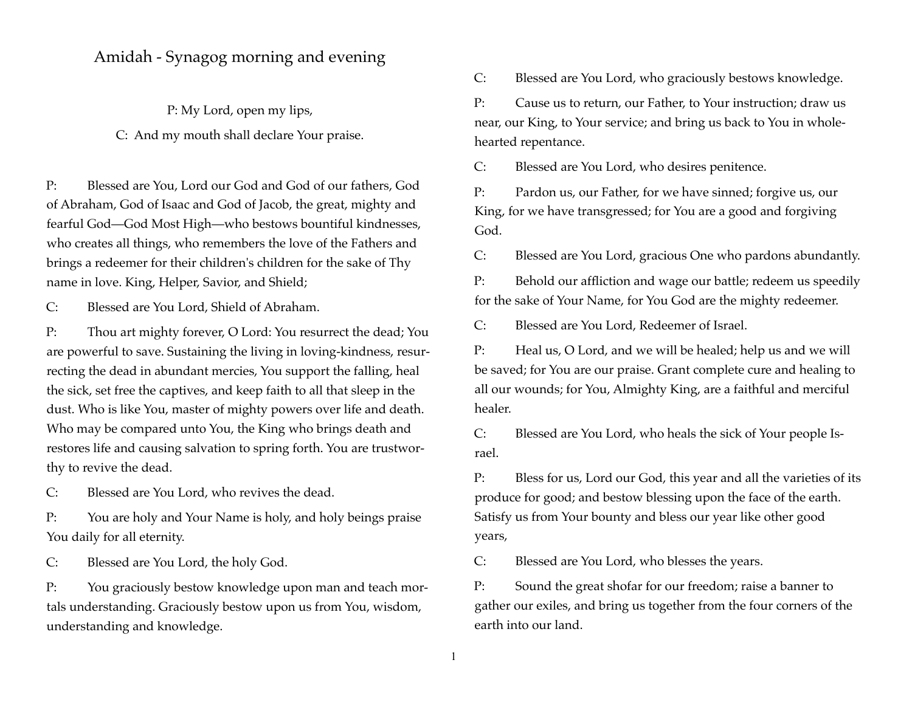## Amidah - Synagog morning and evening

P: My Lord, open my lips,

C: And my mouth shall declare Your praise.

P: Blessed are You, Lord our God and God of our fathers, God of Abraham, God of Isaac and God of Jacob, the great, mighty and fearful God—God Most High—who bestows bountiful kindnesses, who creates all things, who remembers the love of the Fathers and brings a redeemer for their children's children for the sake of Thy name in love. King, Helper, Savior, and Shield;

C: Blessed are You Lord, Shield of Abraham.

P: Thou art mighty forever, O Lord: You resurrect the dead; You are powerful to save. Sustaining the living in loving-kindness, resurrecting the dead in abundant mercies, You support the falling, heal the sick, set free the captives, and keep faith to all that sleep in the dust. Who is like You, master of mighty powers over life and death. Who may be compared unto You, the King who brings death and restores life and causing salvation to spring forth. You are trustworthy to revive the dead.

C: Blessed are You Lord, who revives the dead.

P: You are holy and Your Name is holy, and holy beings praise You daily for all eternity.

C: Blessed are You Lord, the holy God.

P: You graciously bestow knowledge upon man and teach mortals understanding. Graciously bestow upon us from You, wisdom, understanding and knowledge.

C: Blessed are You Lord, who graciously bestows knowledge.

P: Cause us to return, our Father, to Your instruction; draw us near, our King, to Your service; and bring us back to You in wholehearted repentance.

C: Blessed are You Lord, who desires penitence.

P: Pardon us, our Father, for we have sinned; forgive us, our King, for we have transgressed; for You are a good and forgiving God.

C: Blessed are You Lord, gracious One who pardons abundantly.

P: Behold our affliction and wage our battle; redeem us speedily for the sake of Your Name, for You God are the mighty redeemer.

C: Blessed are You Lord, Redeemer of Israel.

P: Heal us, O Lord, and we will be healed; help us and we will be saved; for You are our praise. Grant complete cure and healing to all our wounds; for You, Almighty King, are a faithful and merciful healer.

C: Blessed are You Lord, who heals the sick of Your people Israel.

P: Bless for us, Lord our God, this year and all the varieties of its produce for good; and bestow blessing upon the face of the earth. Satisfy us from Your bounty and bless our year like other good years,

C: Blessed are You Lord, who blesses the years.

P: Sound the great shofar for our freedom; raise a banner to gather our exiles, and bring us together from the four corners of the earth into our land.